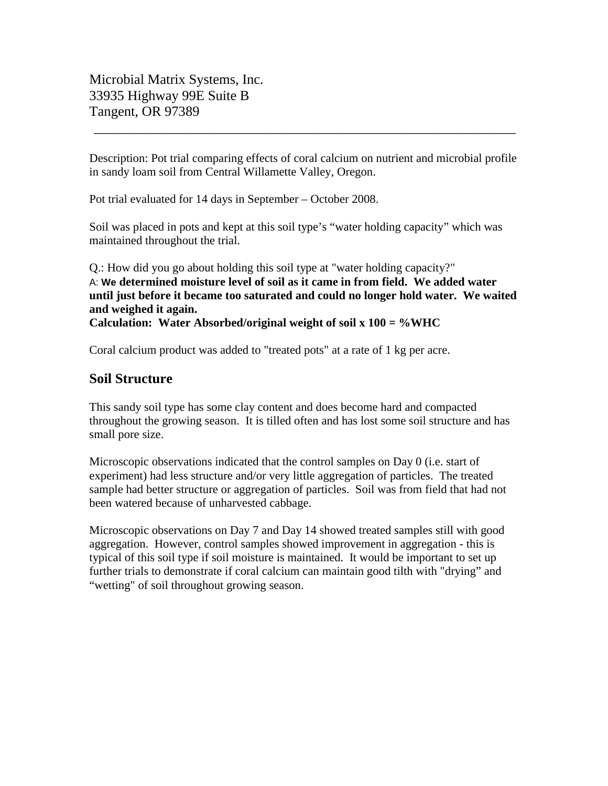Microbial Matrix Systems, Inc. 33935 Highway 99E Suite B Tangent, OR 97389

Description: Pot trial comparing effects of coral calcium on nutrient and microbial profile in sandy loam soil from Central Willamette Valley, Oregon.

\_\_\_\_\_\_\_\_\_\_\_\_\_\_\_\_\_\_\_\_\_\_\_\_\_\_\_\_\_\_\_\_\_\_\_\_\_\_\_\_\_\_\_\_\_\_\_\_\_\_\_\_\_\_\_\_\_\_\_\_

Pot trial evaluated for 14 days in September – October 2008.

Soil was placed in pots and kept at this soil type's "water holding capacity" which was maintained throughout the trial.

Q.: How did you go about holding this soil type at "water holding capacity?" A: **We determined moisture level of soil as it came in from field. We added water until just before it became too saturated and could no longer hold water. We waited and weighed it again. Calculation: Water Absorbed/original weight of soil x 100 = %WHC**

Coral calcium product was added to "treated pots" at a rate of 1 kg per acre.

## **Soil Structure**

This sandy soil type has some clay content and does become hard and compacted throughout the growing season. It is tilled often and has lost some soil structure and has small pore size.

Microscopic observations indicated that the control samples on Day 0 (i.e. start of experiment) had less structure and/or very little aggregation of particles. The treated sample had better structure or aggregation of particles. Soil was from field that had not been watered because of unharvested cabbage.

Microscopic observations on Day 7 and Day 14 showed treated samples still with good aggregation. However, control samples showed improvement in aggregation - this is typical of this soil type if soil moisture is maintained. It would be important to set up further trials to demonstrate if coral calcium can maintain good tilth with "drying" and "wetting" of soil throughout growing season.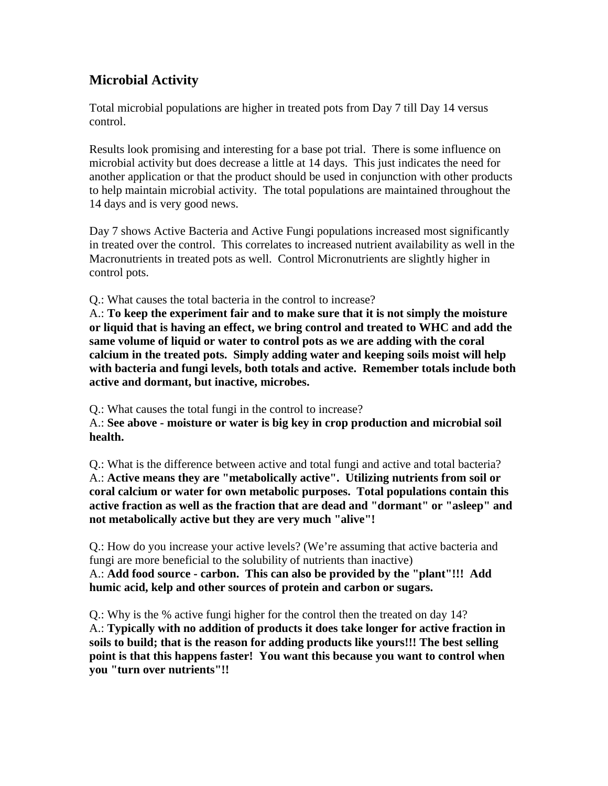# **Microbial Activity**

Total microbial populations are higher in treated pots from Day 7 till Day 14 versus control.

Results look promising and interesting for a base pot trial. There is some influence on microbial activity but does decrease a little at 14 days. This just indicates the need for another application or that the product should be used in conjunction with other products to help maintain microbial activity. The total populations are maintained throughout the 14 days and is very good news.

Day 7 shows Active Bacteria and Active Fungi populations increased most significantly in treated over the control. This correlates to increased nutrient availability as well in the Macronutrients in treated pots as well. Control Micronutrients are slightly higher in control pots.

Q.: What causes the total bacteria in the control to increase?

A.: **To keep the experiment fair and to make sure that it is not simply the moisture or liquid that is having an effect, we bring control and treated to WHC and add the same volume of liquid or water to control pots as we are adding with the coral calcium in the treated pots. Simply adding water and keeping soils moist will help with bacteria and fungi levels, both totals and active. Remember totals include both active and dormant, but inactive, microbes.**

Q.: What causes the total fungi in the control to increase?

A.: **See above - moisture or water is big key in crop production and microbial soil health.**

Q.: What is the difference between active and total fungi and active and total bacteria? A.: **Active means they are "metabolically active". Utilizing nutrients from soil or coral calcium or water for own metabolic purposes. Total populations contain this active fraction as well as the fraction that are dead and "dormant" or "asleep" and not metabolically active but they are very much "alive"!**

Q.: How do you increase your active levels? (We're assuming that active bacteria and fungi are more beneficial to the solubility of nutrients than inactive) A.: **Add food source - carbon. This can also be provided by the "plant"!!! Add humic acid, kelp and other sources of protein and carbon or sugars.**

Q.: Why is the % active fungi higher for the control then the treated on day 14? A.: **Typically with no addition of products it does take longer for active fraction in soils to build; that is the reason for adding products like yours!!! The best selling point is that this happens faster! You want this because you want to control when you "turn over nutrients"!!**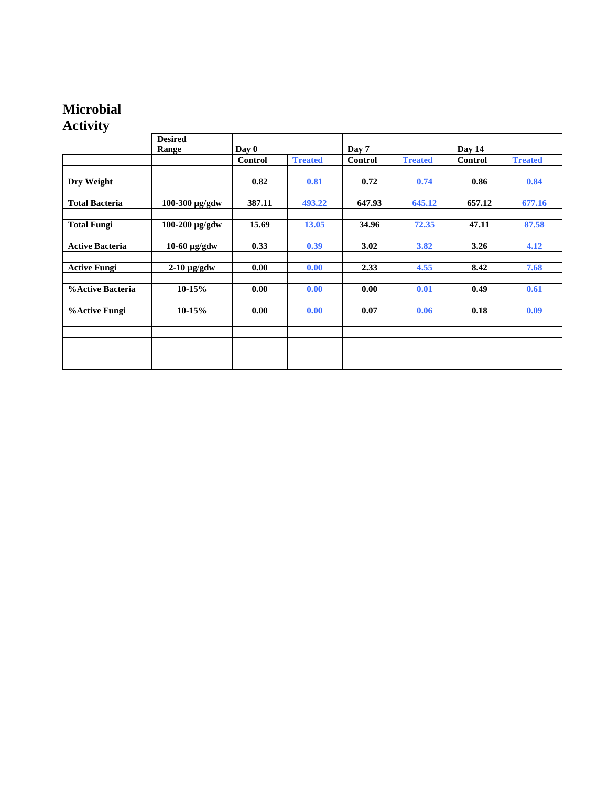## **Microbial Activity**

|                        | <b>Desired</b> |         |                |         |                |         |                |
|------------------------|----------------|---------|----------------|---------|----------------|---------|----------------|
|                        | Range          | Day 0   |                | Day 7   |                | Day 14  |                |
|                        |                | Control | <b>Treated</b> | Control | <b>Treated</b> | Control | <b>Treated</b> |
|                        |                |         |                |         |                |         |                |
| Dry Weight             |                | 0.82    | 0.81           | 0.72    | 0.74           | 0.86    | 0.84           |
|                        |                |         |                |         |                |         |                |
| <b>Total Bacteria</b>  | 100-300 µg/gdw | 387.11  | 493.22         | 647.93  | 645.12         | 657.12  | 677.16         |
|                        |                |         |                |         |                |         |                |
| <b>Total Fungi</b>     | 100-200 µg/gdw | 15.69   | 13.05          | 34.96   | 72.35          | 47.11   | 87.58          |
|                        |                |         |                |         |                |         |                |
| <b>Active Bacteria</b> | $10-60$ µg/gdw | 0.33    | 0.39           | 3.02    | 3.82           | 3.26    | 4.12           |
|                        |                |         |                |         |                |         |                |
| <b>Active Fungi</b>    | $2-10$ µg/gdw  | 0.00    | 0.00           | 2.33    | 4.55           | 8.42    | 7.68           |
|                        |                |         |                |         |                |         |                |
| %Active Bacteria       | $10-15%$       | 0.00    | 0.00           | 0.00    | 0.01           | 0.49    | 0.61           |
|                        |                |         |                |         |                |         |                |
| <b>%Active Fungi</b>   | 10-15%         | 0.00    | 0.00           | 0.07    | 0.06           | 0.18    | 0.09           |
|                        |                |         |                |         |                |         |                |
|                        |                |         |                |         |                |         |                |
|                        |                |         |                |         |                |         |                |
|                        |                |         |                |         |                |         |                |
|                        |                |         |                |         |                |         |                |